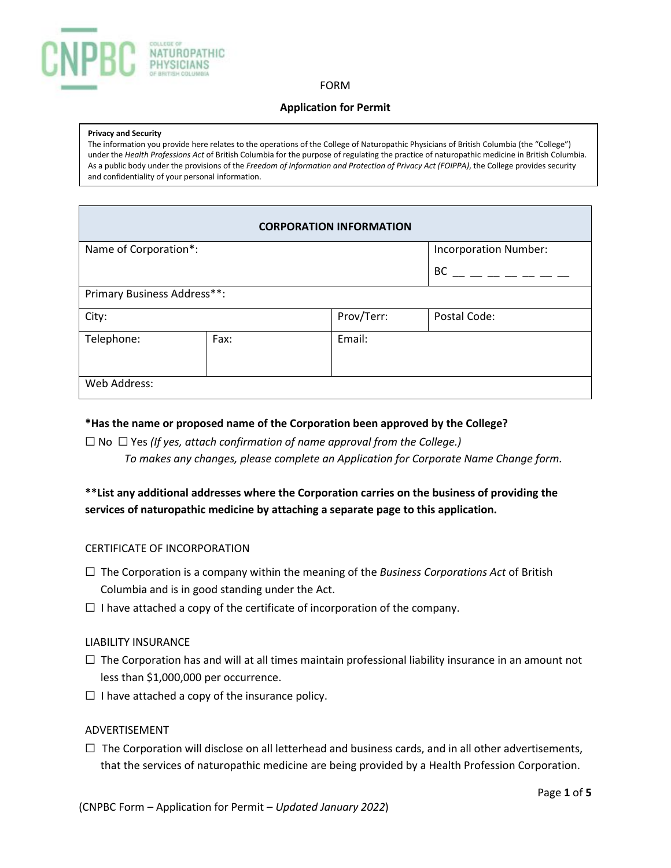

#### FORM

# **Application for Permit**

#### **Privacy and Security**

The information you provide here relates to the operations of the College of Naturopathic Physicians of British Columbia (the "College") under the *Health Professions Act* of British Columbia for the purpose of regulating the practice of naturopathic medicine in British Columbia. As a public body under the provisions of the *Freedom of Information and Protection of Privacy Act (FOIPPA)*, the College provides security and confidentiality of your personal information.

|                             |      | <b>CORPORATION INFORMATION</b> |                              |
|-----------------------------|------|--------------------------------|------------------------------|
| Name of Corporation*:       |      |                                | <b>Incorporation Number:</b> |
|                             |      |                                | <b>BC</b>                    |
| Primary Business Address**: |      |                                |                              |
| City:                       |      | Prov/Terr:                     | Postal Code:                 |
| Telephone:                  | Fax: | Email:                         |                              |
| Web Address:                |      |                                |                              |

# **\*Has the name or proposed name of the Corporation been approved by the College?**

☐ No ☐ Yes *(If yes, attach confirmation of name approval from the College.) To makes any changes, please complete an Application for Corporate Name Change form.*

# **\*\*List any additional addresses where the Corporation carries on the business of providing the services of naturopathic medicine by attaching a separate page to this application.**

# CERTIFICATE OF INCORPORATION

- ☐ The Corporation is a company within the meaning of the *Business Corporations Act* of British Columbia and is in good standing under the Act.
- $\Box$  I have attached a copy of the certificate of incorporation of the company.

#### LIABILITY INSURANCE

- $\Box$  The Corporation has and will at all times maintain professional liability insurance in an amount not less than \$1,000,000 per occurrence.
- $\Box$  I have attached a copy of the insurance policy.

# ADVERTISEMENT

 $\Box$  The Corporation will disclose on all letterhead and business cards, and in all other advertisements, that the services of naturopathic medicine are being provided by a Health Profession Corporation.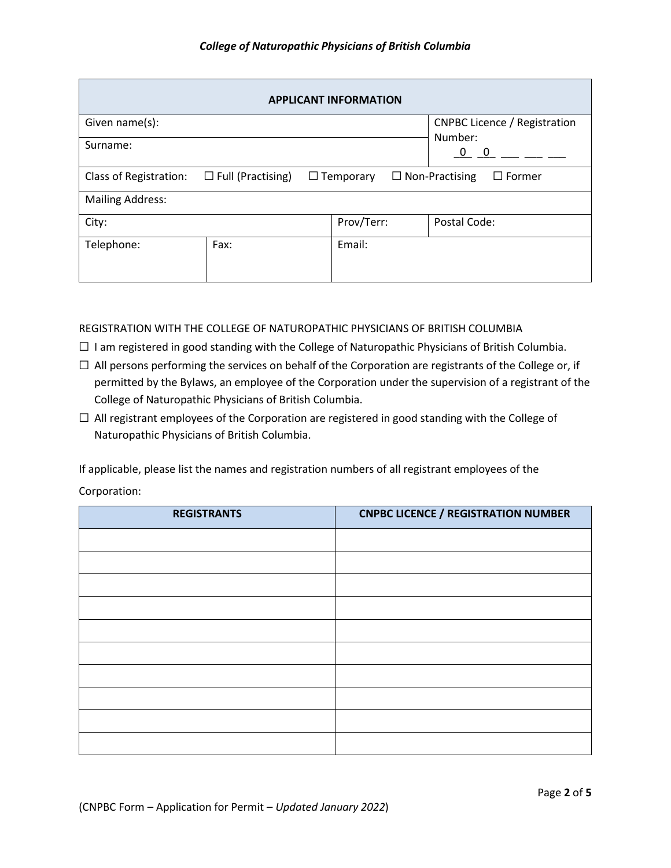|                         |                                                                                        |  | <b>APPLICANT INFORMATION</b> |                                     |
|-------------------------|----------------------------------------------------------------------------------------|--|------------------------------|-------------------------------------|
| Given name(s):          |                                                                                        |  |                              | <b>CNPBC Licence / Registration</b> |
| Surname:                |                                                                                        |  |                              | Number:<br>$0 \quad 0$              |
| Class of Registration:  | $\Box$ Full (Practising)<br>$\Box$ Non-Practising<br>$\Box$ Former<br>$\Box$ Temporary |  |                              |                                     |
| <b>Mailing Address:</b> |                                                                                        |  |                              |                                     |
| City:                   |                                                                                        |  | Prov/Terr:                   | Postal Code:                        |
| Telephone:              | Fax:                                                                                   |  | Email:                       |                                     |

# REGISTRATION WITH THE COLLEGE OF NATUROPATHIC PHYSICIANS OF BRITISH COLUMBIA

- ☐ I am registered in good standing with the College of Naturopathic Physicians of British Columbia.
- $\Box$  All persons performing the services on behalf of the Corporation are registrants of the College or, if permitted by the Bylaws, an employee of the Corporation under the supervision of a registrant of the College of Naturopathic Physicians of British Columbia.
- ☐ All registrant employees of the Corporation are registered in good standing with the College of Naturopathic Physicians of British Columbia.

If applicable, please list the names and registration numbers of all registrant employees of the Corporation:

| <b>REGISTRANTS</b> | <b>CNPBC LICENCE / REGISTRATION NUMBER</b> |
|--------------------|--------------------------------------------|
|                    |                                            |
|                    |                                            |
|                    |                                            |
|                    |                                            |
|                    |                                            |
|                    |                                            |
|                    |                                            |
|                    |                                            |
|                    |                                            |
|                    |                                            |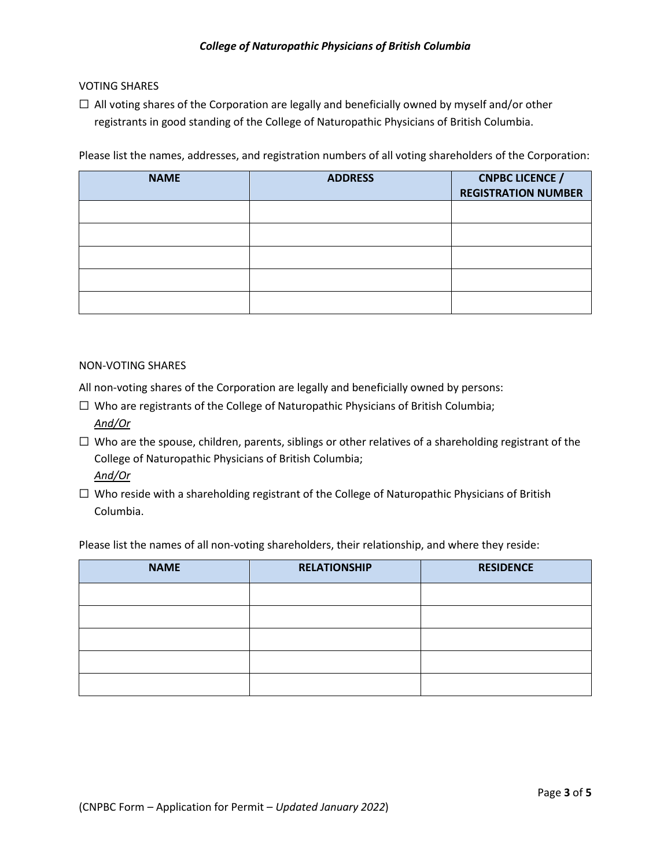# VOTING SHARES

 $\Box$  All voting shares of the Corporation are legally and beneficially owned by myself and/or other registrants in good standing of the College of Naturopathic Physicians of British Columbia.

Please list the names, addresses, and registration numbers of all voting shareholders of the Corporation:

| <b>NAME</b> | <b>ADDRESS</b> | <b>CNPBC LICENCE /</b><br><b>REGISTRATION NUMBER</b> |
|-------------|----------------|------------------------------------------------------|
|             |                |                                                      |
|             |                |                                                      |
|             |                |                                                      |
|             |                |                                                      |
|             |                |                                                      |

# NON-VOTING SHARES

All non-voting shares of the Corporation are legally and beneficially owned by persons:

- ☐ Who are registrants of the College of Naturopathic Physicians of British Columbia; *And/Or*
- ☐ Who are the spouse, children, parents, siblings or other relatives of a shareholding registrant of the College of Naturopathic Physicians of British Columbia; *And/Or*
- $\Box$  Who reside with a shareholding registrant of the College of Naturopathic Physicians of British Columbia.

Please list the names of all non-voting shareholders, their relationship, and where they reside:

| <b>NAME</b> | <b>RELATIONSHIP</b> | <b>RESIDENCE</b> |
|-------------|---------------------|------------------|
|             |                     |                  |
|             |                     |                  |
|             |                     |                  |
|             |                     |                  |
|             |                     |                  |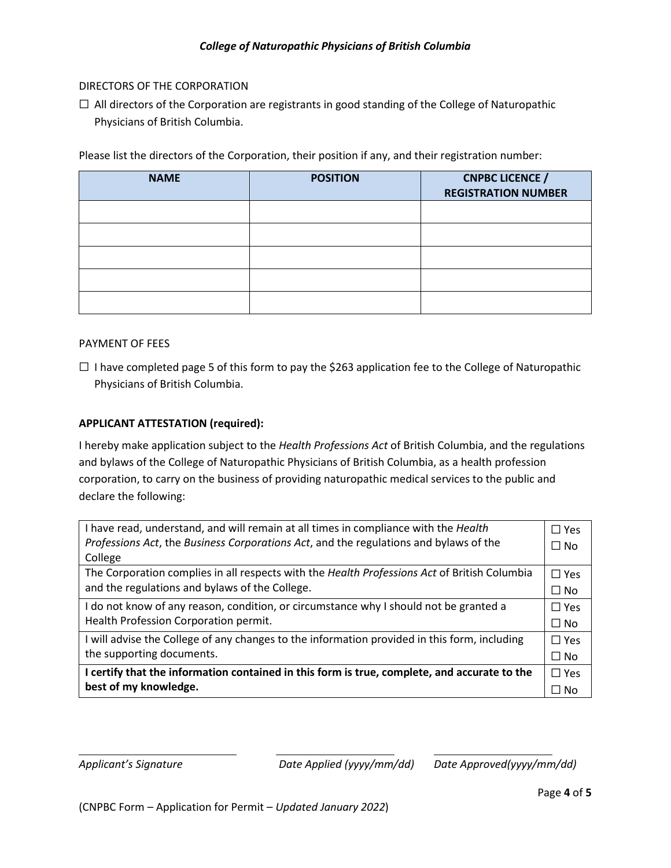# DIRECTORS OF THE CORPORATION

 $\Box$  All directors of the Corporation are registrants in good standing of the College of Naturopathic Physicians of British Columbia.

Please list the directors of the Corporation, their position if any, and their registration number:

| <b>NAME</b> | <b>POSITION</b> | <b>CNPBC LICENCE /</b><br><b>REGISTRATION NUMBER</b> |
|-------------|-----------------|------------------------------------------------------|
|             |                 |                                                      |
|             |                 |                                                      |
|             |                 |                                                      |
|             |                 |                                                      |
|             |                 |                                                      |

# PAYMENT OF FEES

 $\Box$  I have completed page 5 of this form to pay the \$263 application fee to the College of Naturopathic Physicians of British Columbia.

# **APPLICANT ATTESTATION (required):**

I hereby make application subject to the *Health Professions Act* of British Columbia, and the regulations and bylaws of the College of Naturopathic Physicians of British Columbia, as a health profession corporation, to carry on the business of providing naturopathic medical services to the public and declare the following:

| I have read, understand, and will remain at all times in compliance with the Health          | $\square$ Yes |
|----------------------------------------------------------------------------------------------|---------------|
| Professions Act, the Business Corporations Act, and the regulations and bylaws of the        | $\Box$ No     |
| College                                                                                      |               |
| The Corporation complies in all respects with the Health Professions Act of British Columbia | $\Box$ Yes    |
| and the regulations and bylaws of the College.                                               | $\square$ No  |
| I do not know of any reason, condition, or circumstance why I should not be granted a        | $\Box$ Yes    |
| Health Profession Corporation permit.                                                        | $\Box$ No     |
| I will advise the College of any changes to the information provided in this form, including | $\Box$ Yes    |
| the supporting documents.                                                                    | $\Box$ No     |
| I certify that the information contained in this form is true, complete, and accurate to the | $\Box$ Yes    |
| best of my knowledge.                                                                        | $\Box$ No     |

*Applicant's Signature Date Applied (yyyy/mm/dd) Date Approved(yyyy/mm/dd)*